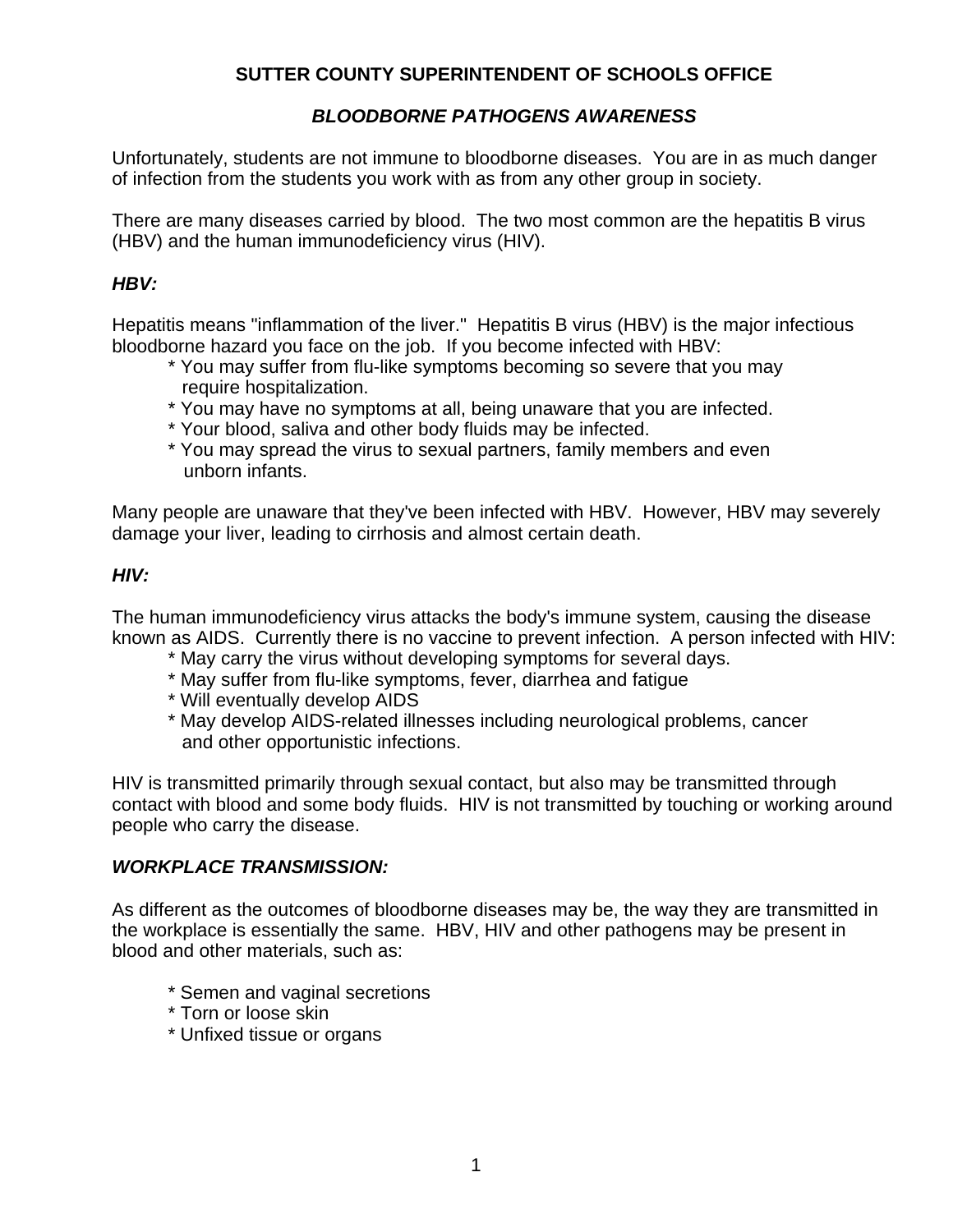## **SUTTER COUNTY SUPERINTENDENT OF SCHOOLS OFFICE**

## *BLOODBORNE PATHOGENS AWARENESS*

Unfortunately, students are not immune to bloodborne diseases. You are in as much danger of infection from the students you work with as from any other group in society.

There are many diseases carried by blood. The two most common are the hepatitis B virus (HBV) and the human immunodeficiency virus (HIV).

#### *HBV:*

Hepatitis means "inflammation of the liver." Hepatitis B virus (HBV) is the major infectious bloodborne hazard you face on the job. If you become infected with HBV:

- \* You may suffer from flu-like symptoms becoming so severe that you may require hospitalization.
- \* You may have no symptoms at all, being unaware that you are infected.
- \* Your blood, saliva and other body fluids may be infected.
- \* You may spread the virus to sexual partners, family members and even unborn infants.

Many people are unaware that they've been infected with HBV. However, HBV may severely damage your liver, leading to cirrhosis and almost certain death.

## *HIV:*

The human immunodeficiency virus attacks the body's immune system, causing the disease known as AIDS. Currently there is no vaccine to prevent infection. A person infected with HIV:

- \* May carry the virus without developing symptoms for several days.
- \* May suffer from flu-like symptoms, fever, diarrhea and fatigue
- \* Will eventually develop AIDS
- \* May develop AIDS-related illnesses including neurological problems, cancer and other opportunistic infections.

HIV is transmitted primarily through sexual contact, but also may be transmitted through contact with blood and some body fluids. HIV is not transmitted by touching or working around people who carry the disease.

#### *WORKPLACE TRANSMISSION:*

As different as the outcomes of bloodborne diseases may be, the way they are transmitted in the workplace is essentially the same. HBV, HIV and other pathogens may be present in blood and other materials, such as:

- \* Semen and vaginal secretions
- \* Torn or loose skin
- \* Unfixed tissue or organs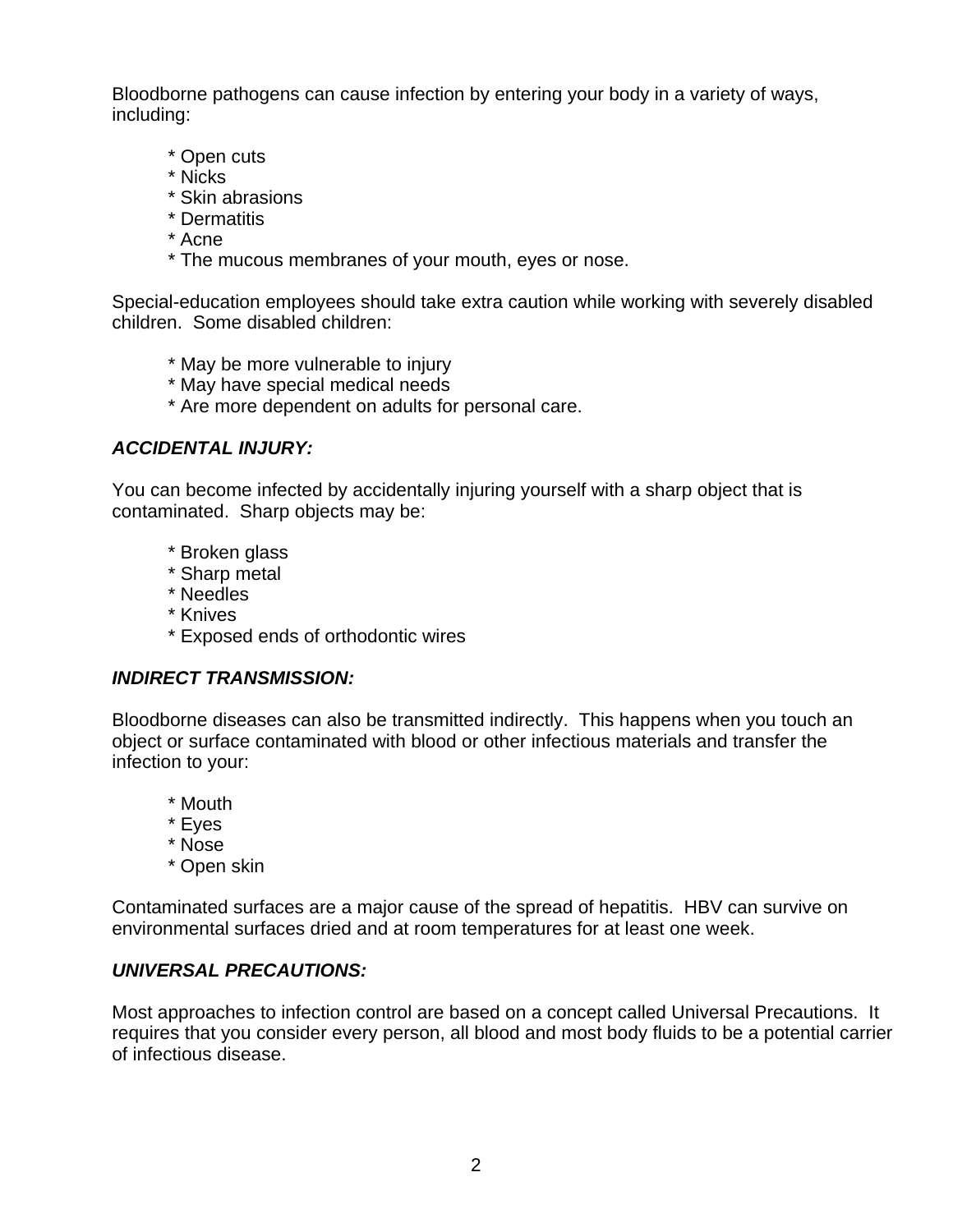Bloodborne pathogens can cause infection by entering your body in a variety of ways, including:

- \* Open cuts
- \* Nicks
- \* Skin abrasions
- \* Dermatitis
- \* Acne
- \* The mucous membranes of your mouth, eyes or nose.

Special-education employees should take extra caution while working with severely disabled children. Some disabled children:

- \* May be more vulnerable to injury
- \* May have special medical needs
- \* Are more dependent on adults for personal care.

## *ACCIDENTAL INJURY:*

You can become infected by accidentally injuring yourself with a sharp object that is contaminated. Sharp objects may be:

- \* Broken glass
- \* Sharp metal
- \* Needles
- \* Knives
- \* Exposed ends of orthodontic wires

## *INDIRECT TRANSMISSION:*

Bloodborne diseases can also be transmitted indirectly. This happens when you touch an object or surface contaminated with blood or other infectious materials and transfer the infection to your:

- \* Mouth
- \* Eyes
- \* Nose
- \* Open skin

Contaminated surfaces are a major cause of the spread of hepatitis. HBV can survive on environmental surfaces dried and at room temperatures for at least one week.

## *UNIVERSAL PRECAUTIONS:*

Most approaches to infection control are based on a concept called Universal Precautions. It requires that you consider every person, all blood and most body fluids to be a potential carrier of infectious disease.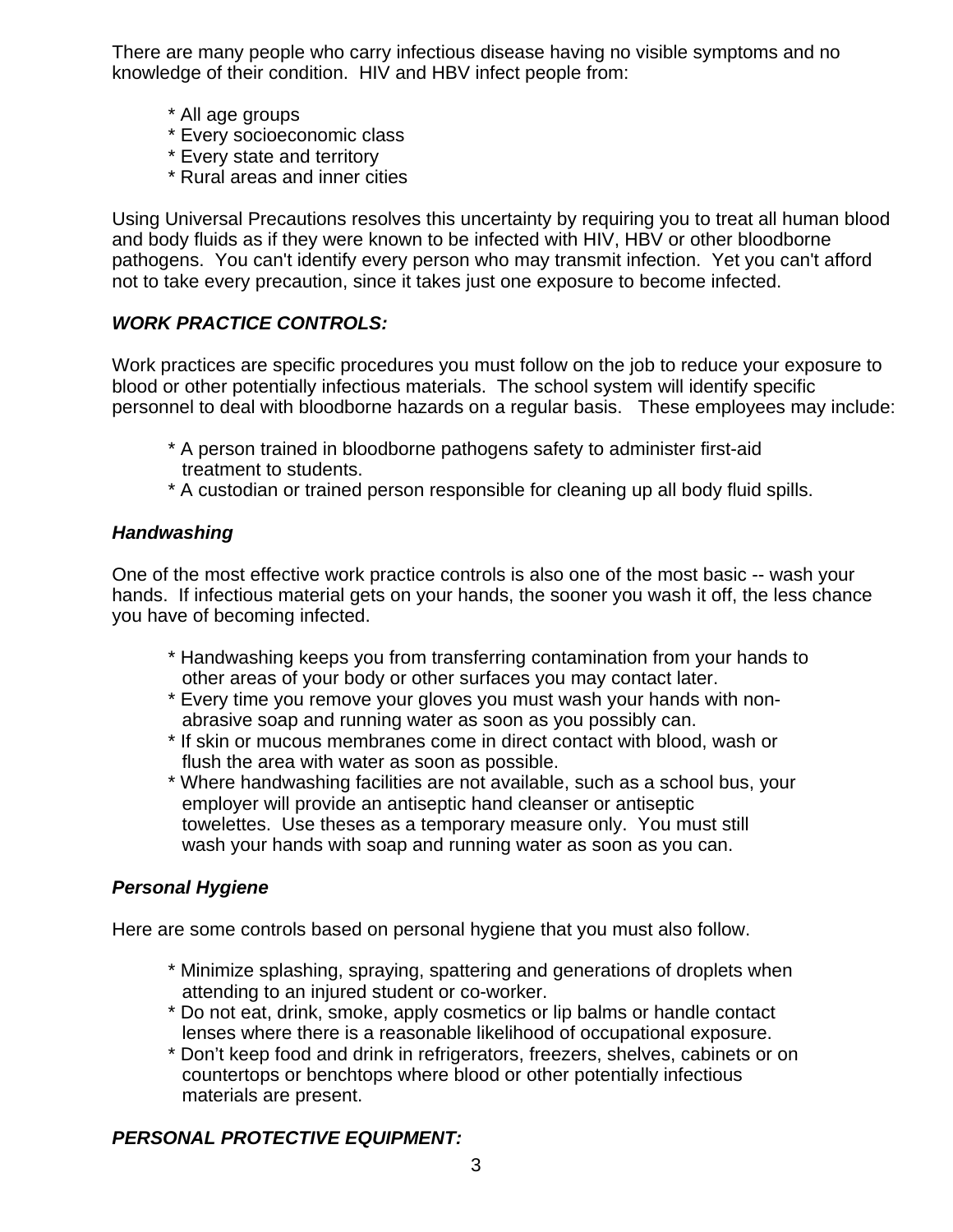There are many people who carry infectious disease having no visible symptoms and no knowledge of their condition. HIV and HBV infect people from:

- \* All age groups
- \* Every socioeconomic class
- \* Every state and territory
- \* Rural areas and inner cities

Using Universal Precautions resolves this uncertainty by requiring you to treat all human blood and body fluids as if they were known to be infected with HIV, HBV or other bloodborne pathogens. You can't identify every person who may transmit infection. Yet you can't afford not to take every precaution, since it takes just one exposure to become infected.

## *WORK PRACTICE CONTROLS:*

Work practices are specific procedures you must follow on the job to reduce your exposure to blood or other potentially infectious materials. The school system will identify specific personnel to deal with bloodborne hazards on a regular basis. These employees may include:

- \* A person trained in bloodborne pathogens safety to administer first-aid treatment to students.
- \* A custodian or trained person responsible for cleaning up all body fluid spills.

## *Handwashing*

One of the most effective work practice controls is also one of the most basic -- wash your hands. If infectious material gets on your hands, the sooner you wash it off, the less chance you have of becoming infected.

- \* Handwashing keeps you from transferring contamination from your hands to other areas of your body or other surfaces you may contact later.
- \* Every time you remove your gloves you must wash your hands with non abrasive soap and running water as soon as you possibly can.
- \* If skin or mucous membranes come in direct contact with blood, wash or flush the area with water as soon as possible.
- \* Where handwashing facilities are not available, such as a school bus, your employer will provide an antiseptic hand cleanser or antiseptic towelettes. Use theses as a temporary measure only. You must still wash your hands with soap and running water as soon as you can.

#### *Personal Hygiene*

Here are some controls based on personal hygiene that you must also follow.

- \* Minimize splashing, spraying, spattering and generations of droplets when attending to an injured student or co-worker.
- \* Do not eat, drink, smoke, apply cosmetics or lip balms or handle contact lenses where there is a reasonable likelihood of occupational exposure.
- \* Don't keep food and drink in refrigerators, freezers, shelves, cabinets or on countertops or benchtops where blood or other potentially infectious materials are present.

# *PERSONAL PROTECTIVE EQUIPMENT:*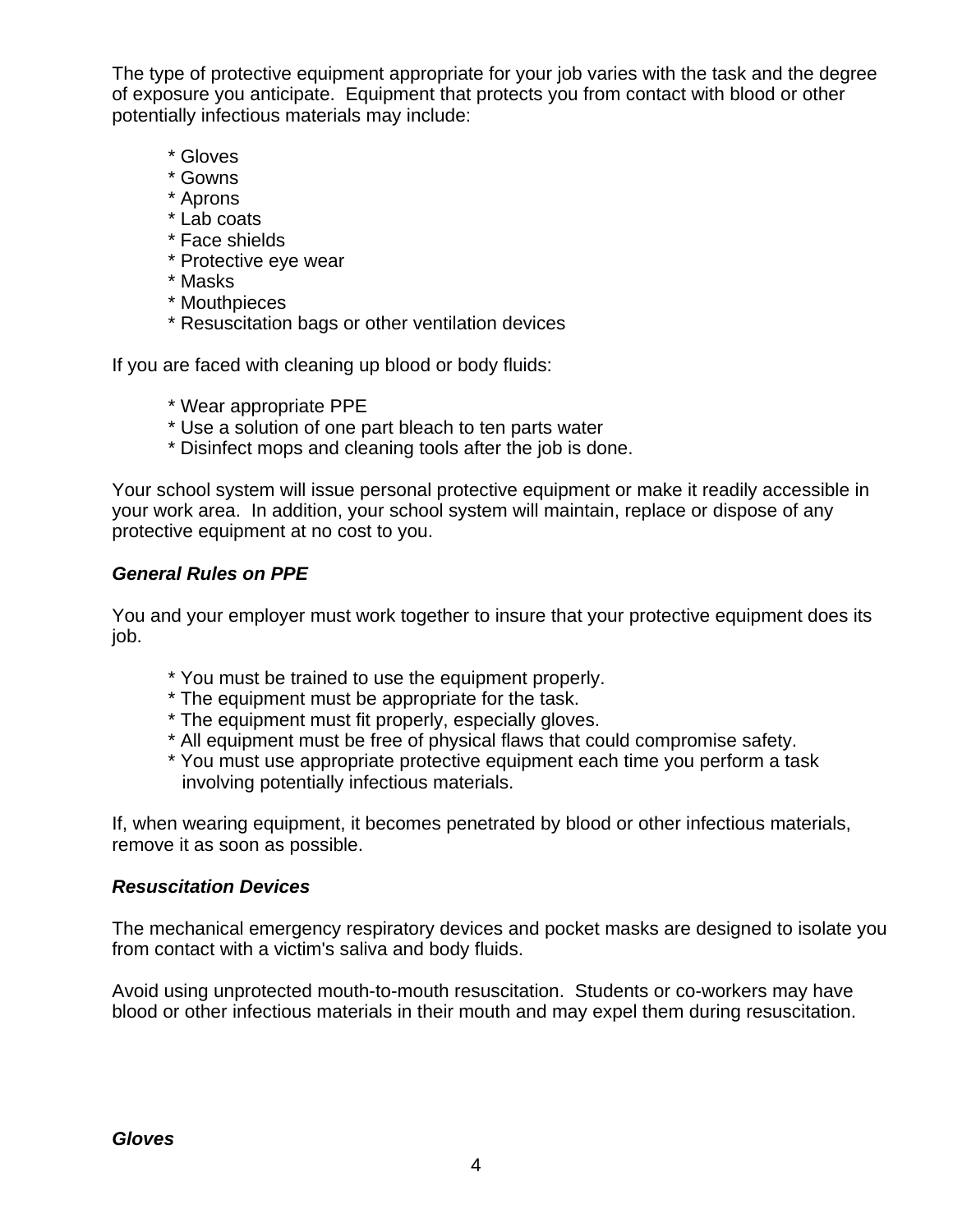The type of protective equipment appropriate for your job varies with the task and the degree of exposure you anticipate. Equipment that protects you from contact with blood or other potentially infectious materials may include:

- \* Gloves
- \* Gowns
- \* Aprons
- \* Lab coats
- \* Face shields
- \* Protective eye wear
- \* Masks
- \* Mouthpieces
- \* Resuscitation bags or other ventilation devices

If you are faced with cleaning up blood or body fluids:

- \* Wear appropriate PPE
- \* Use a solution of one part bleach to ten parts water
- \* Disinfect mops and cleaning tools after the job is done.

Your school system will issue personal protective equipment or make it readily accessible in your work area. In addition, your school system will maintain, replace or dispose of any protective equipment at no cost to you.

#### *General Rules on PPE*

You and your employer must work together to insure that your protective equipment does its job.

- \* You must be trained to use the equipment properly.
- \* The equipment must be appropriate for the task.
- \* The equipment must fit properly, especially gloves.
- \* All equipment must be free of physical flaws that could compromise safety.
- \* You must use appropriate protective equipment each time you perform a task involving potentially infectious materials.

If, when wearing equipment, it becomes penetrated by blood or other infectious materials, remove it as soon as possible.

#### *Resuscitation Devices*

The mechanical emergency respiratory devices and pocket masks are designed to isolate you from contact with a victim's saliva and body fluids.

Avoid using unprotected mouth-to-mouth resuscitation. Students or co-workers may have blood or other infectious materials in their mouth and may expel them during resuscitation.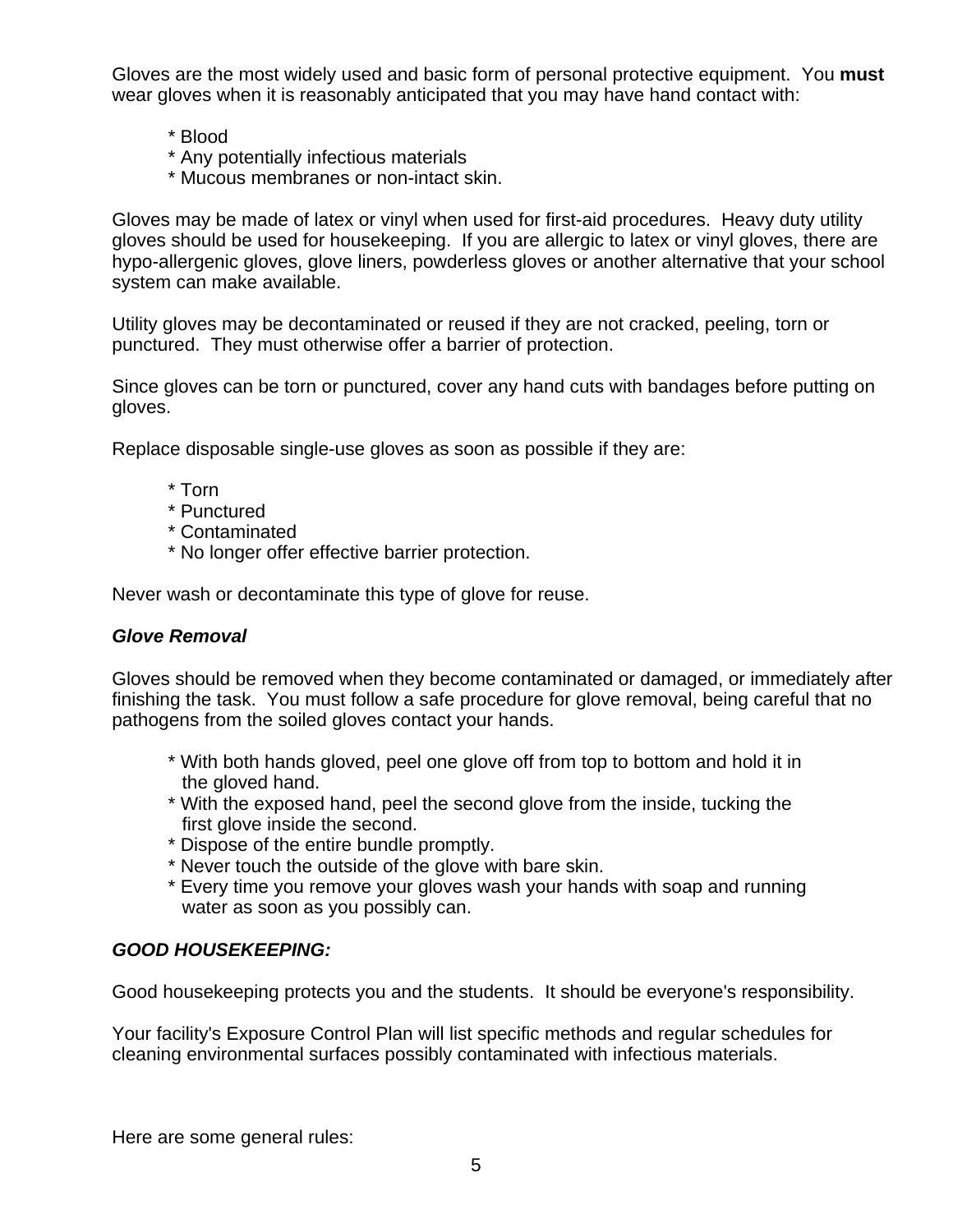Gloves are the most widely used and basic form of personal protective equipment. You **must**  wear gloves when it is reasonably anticipated that you may have hand contact with:

- \* Blood
- \* Any potentially infectious materials
- \* Mucous membranes or non-intact skin.

Gloves may be made of latex or vinyl when used for first-aid procedures. Heavy duty utility gloves should be used for housekeeping. If you are allergic to latex or vinyl gloves, there are hypo-allergenic gloves, glove liners, powderless gloves or another alternative that your school system can make available.

Utility gloves may be decontaminated or reused if they are not cracked, peeling, torn or punctured. They must otherwise offer a barrier of protection.

Since gloves can be torn or punctured, cover any hand cuts with bandages before putting on gloves.

Replace disposable single-use gloves as soon as possible if they are:

- \* Torn
- \* Punctured
- \* Contaminated
- \* No longer offer effective barrier protection.

Never wash or decontaminate this type of glove for reuse.

#### *Glove Removal*

Gloves should be removed when they become contaminated or damaged, or immediately after finishing the task. You must follow a safe procedure for glove removal, being careful that no pathogens from the soiled gloves contact your hands.

- \* With both hands gloved, peel one glove off from top to bottom and hold it in the gloved hand.
- \* With the exposed hand, peel the second glove from the inside, tucking the first glove inside the second.
- \* Dispose of the entire bundle promptly.
- \* Never touch the outside of the glove with bare skin.
- \* Every time you remove your gloves wash your hands with soap and running water as soon as you possibly can.

#### *GOOD HOUSEKEEPING:*

Good housekeeping protects you and the students. It should be everyone's responsibility.

Your facility's Exposure Control Plan will list specific methods and regular schedules for cleaning environmental surfaces possibly contaminated with infectious materials.

Here are some general rules: